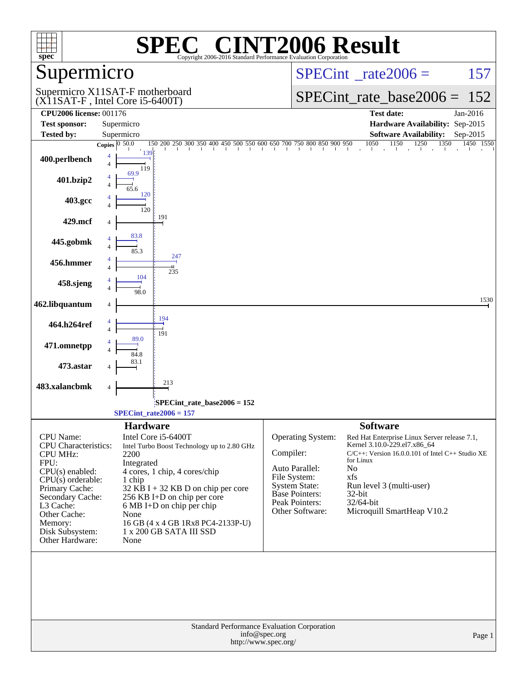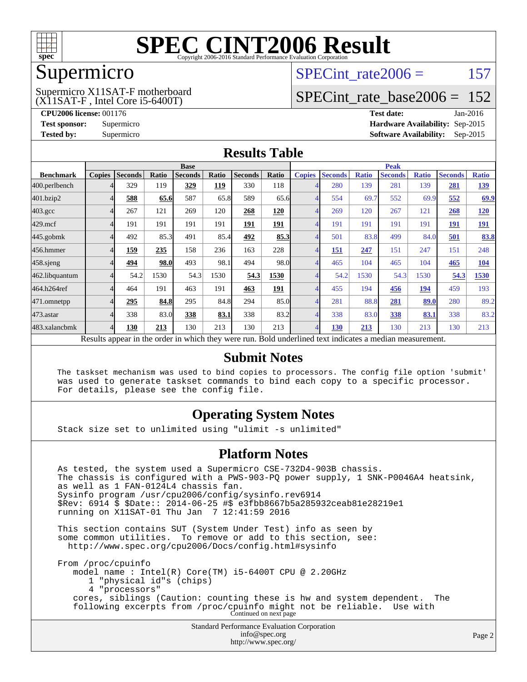

## Supermicro

(X11SAT-F , Intel Core i5-6400T) Supermicro X11SAT-F motherboard SPECint rate $2006 = 157$ 

# [SPECint\\_rate\\_base2006 =](http://www.spec.org/auto/cpu2006/Docs/result-fields.html#SPECintratebase2006) 152

**[CPU2006 license:](http://www.spec.org/auto/cpu2006/Docs/result-fields.html#CPU2006license)** 001176 **[Test date:](http://www.spec.org/auto/cpu2006/Docs/result-fields.html#Testdate)** Jan-2016

**[Test sponsor:](http://www.spec.org/auto/cpu2006/Docs/result-fields.html#Testsponsor)** Supermicro **[Hardware Availability:](http://www.spec.org/auto/cpu2006/Docs/result-fields.html#HardwareAvailability)** Sep-2015 **[Tested by:](http://www.spec.org/auto/cpu2006/Docs/result-fields.html#Testedby)** Supermicro **Supermicro [Software Availability:](http://www.spec.org/auto/cpu2006/Docs/result-fields.html#SoftwareAvailability)** Sep-2015

### **[Results Table](http://www.spec.org/auto/cpu2006/Docs/result-fields.html#ResultsTable)**

|                                                                                                          | <b>Base</b>   |                |       |                |       |                |       | <b>Peak</b>    |                |              |                |              |                |              |
|----------------------------------------------------------------------------------------------------------|---------------|----------------|-------|----------------|-------|----------------|-------|----------------|----------------|--------------|----------------|--------------|----------------|--------------|
| <b>Benchmark</b>                                                                                         | <b>Copies</b> | <b>Seconds</b> | Ratio | <b>Seconds</b> | Ratio | <b>Seconds</b> | Ratio | <b>Copies</b>  | <b>Seconds</b> | <b>Ratio</b> | <b>Seconds</b> | <b>Ratio</b> | <b>Seconds</b> | <b>Ratio</b> |
| 400.perlbench                                                                                            | 4             | 329            | 119   | 329            | 119   | 330            | 118   |                | 280            | 139          | 281            | 139          | 281            | <u>139</u>   |
| 401.bzip2                                                                                                | 4             | 588            | 65.6  | 587            | 65.8  | 589            | 65.6  | $\overline{4}$ | 554            | 69.7         | 552            | 69.9         | 552            | <u>69.9</u>  |
| $403.\mathrm{gcc}$                                                                                       | 4             | 267            | 121   | 269            | 120   | 268            | 120   | 4              | 269            | 120          | 267            | 121          | 268            | 120          |
| $429$ .mcf                                                                                               | 4             | 191            | 191   | 191            | 191   | 191            | 191   | $\overline{4}$ | 191            | 191          | 191            | 191          | 191            | <u>191</u>   |
| $445$ .gobmk                                                                                             | 4             | 492            | 85.3  | 491            | 85.4  | 492            | 85.3  | $\overline{4}$ | 501            | 83.8         | 499            | 84.0         | 501            | 83.8         |
| 456.hmmer                                                                                                |               | 159            | 235   | 158            | 236   | 163            | 228   |                | 151            | 247          | 151            | 247          | 151            | 248          |
| 458.sjeng                                                                                                | 4             | 494            | 98.0  | 493            | 98.1  | 494            | 98.0  | $\overline{4}$ | 465            | 104          | 465            | 104          | 465            | 104          |
| 462.libquantum                                                                                           | 4             | 54.2           | 1530  | 54.3           | 1530  | 54.3           | 1530  | 4              | 54.2           | 1530         | 54.3           | 1530         | 54.3           | 1530         |
| 464.h264ref                                                                                              | 4             | 464            | 191   | 463            | 191   | 463            | 191   |                | 455            | 194          | 456            | 194          | 459            | 193          |
| 471.omnetpp                                                                                              | 4             | 295            | 84.8  | 295            | 84.8  | 294            | 85.0  | 4              | 281            | 88.8         | 281            | 89.0         | 280            | 89.2         |
| $473$ . astar                                                                                            | 4             | 338            | 83.0  | 338            | 83.1  | 338            | 83.2  | $\overline{4}$ | 338            | 83.0         | 338            | 83.1         | 338            | 83.2         |
| 483.xalancbmk                                                                                            | 4             | 130            | 213   | 130            | 213   | 130            | 213   | $\overline{4}$ | 130            | 213          | 130            | 213          | 130            | 213          |
| Results appear in the order in which they were run. Bold underlined text indicates a median measurement. |               |                |       |                |       |                |       |                |                |              |                |              |                |              |

#### **[Submit Notes](http://www.spec.org/auto/cpu2006/Docs/result-fields.html#SubmitNotes)**

 The taskset mechanism was used to bind copies to processors. The config file option 'submit' was used to generate taskset commands to bind each copy to a specific processor. For details, please see the config file.

### **[Operating System Notes](http://www.spec.org/auto/cpu2006/Docs/result-fields.html#OperatingSystemNotes)**

Stack size set to unlimited using "ulimit -s unlimited"

#### **[Platform Notes](http://www.spec.org/auto/cpu2006/Docs/result-fields.html#PlatformNotes)**

Standard Performance Evaluation Corporation [info@spec.org](mailto:info@spec.org) Page 2 As tested, the system used a Supermicro CSE-732D4-903B chassis. The chassis is configured with a PWS-903-PQ power supply, 1 SNK-P0046A4 heatsink, as well as 1 FAN-0124L4 chassis fan. Sysinfo program /usr/cpu2006/config/sysinfo.rev6914 \$Rev: 6914 \$ \$Date:: 2014-06-25 #\$ e3fbb8667b5a285932ceab81e28219e1 running on X11SAT-01 Thu Jan 7 12:41:59 2016 This section contains SUT (System Under Test) info as seen by some common utilities. To remove or add to this section, see: <http://www.spec.org/cpu2006/Docs/config.html#sysinfo> From /proc/cpuinfo model name : Intel(R) Core(TM) i5-6400T CPU @ 2.20GHz 1 "physical id"s (chips) 4 "processors" cores, siblings (Caution: counting these is hw and system dependent. The following excerpts from /proc/cpuinfo might not be reliable. Use with Continued on next page

<http://www.spec.org/>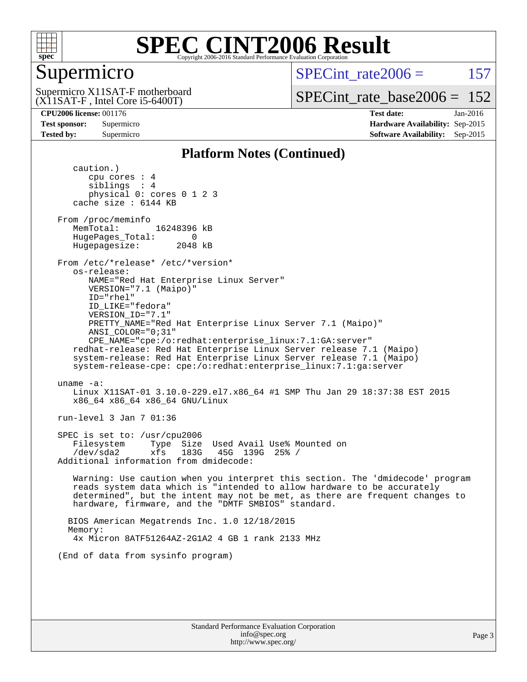

# Supermicro

SPECint rate $2006 = 157$ 

(X11SAT-F , Intel Core i5-6400T) Supermicro X11SAT-F motherboard

[SPECint\\_rate\\_base2006 =](http://www.spec.org/auto/cpu2006/Docs/result-fields.html#SPECintratebase2006) 152

**[CPU2006 license:](http://www.spec.org/auto/cpu2006/Docs/result-fields.html#CPU2006license)** 001176 **[Test date:](http://www.spec.org/auto/cpu2006/Docs/result-fields.html#Testdate)** Jan-2016 **[Test sponsor:](http://www.spec.org/auto/cpu2006/Docs/result-fields.html#Testsponsor)** Supermicro **[Hardware Availability:](http://www.spec.org/auto/cpu2006/Docs/result-fields.html#HardwareAvailability)** Sep-2015 **[Tested by:](http://www.spec.org/auto/cpu2006/Docs/result-fields.html#Testedby)** Supermicro **Supermicro [Software Availability:](http://www.spec.org/auto/cpu2006/Docs/result-fields.html#SoftwareAvailability)** Sep-2015

### **[Platform Notes \(Continued\)](http://www.spec.org/auto/cpu2006/Docs/result-fields.html#PlatformNotes)**

 caution.) cpu cores : 4 siblings : 4 physical 0: cores 0 1 2 3 cache size : 6144 KB From /proc/meminfo MemTotal: 16248396 kB HugePages\_Total: 0<br>Hugepagesize: 2048 kB Hugepagesize: From /etc/\*release\* /etc/\*version\* os-release: NAME="Red Hat Enterprise Linux Server" VERSION="7.1 (Maipo)" ID="rhel" ID\_LIKE="fedora" VERSION\_ID="7.1" PRETTY\_NAME="Red Hat Enterprise Linux Server 7.1 (Maipo)" ANSI\_COLOR="0;31" CPE\_NAME="cpe:/o:redhat:enterprise\_linux:7.1:GA:server" redhat-release: Red Hat Enterprise Linux Server release 7.1 (Maipo) system-release: Red Hat Enterprise Linux Server release 7.1 (Maipo) system-release-cpe: cpe:/o:redhat:enterprise\_linux:7.1:ga:server uname -a: Linux X11SAT-01 3.10.0-229.el7.x86\_64 #1 SMP Thu Jan 29 18:37:38 EST 2015 x86\_64 x86\_64 x86\_64 GNU/Linux run-level 3 Jan 7 01:36 SPEC is set to: /usr/cpu2006 Filesystem Type Size Used Avail Use% Mounted on /dev/sda2 xfs 183G 45G 139G 25% / Additional information from dmidecode: Warning: Use caution when you interpret this section. The 'dmidecode' program reads system data which is "intended to allow hardware to be accurately determined", but the intent may not be met, as there are frequent changes to hardware, firmware, and the "DMTF SMBIOS" standard. BIOS American Megatrends Inc. 1.0 12/18/2015 Memory: 4x Micron 8ATF51264AZ-2G1A2 4 GB 1 rank 2133 MHz (End of data from sysinfo program)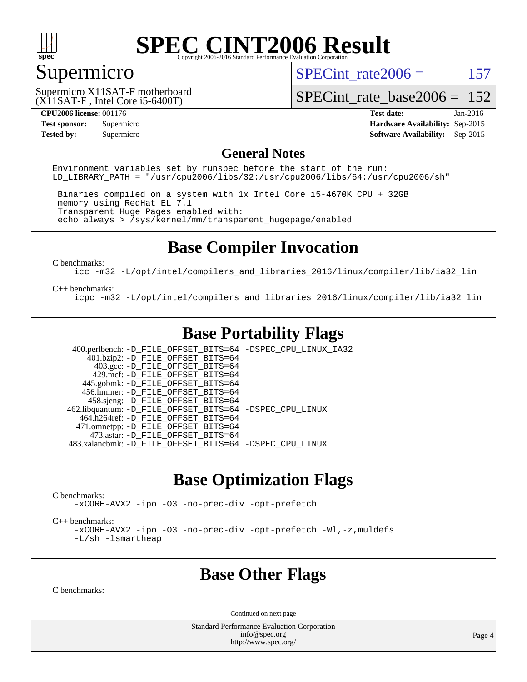

# Supermicro

SPECint rate $2006 = 157$ 

(X11SAT-F , Intel Core i5-6400T) Supermicro X11SAT-F motherboard

[SPECint\\_rate\\_base2006 =](http://www.spec.org/auto/cpu2006/Docs/result-fields.html#SPECintratebase2006) 152

**[CPU2006 license:](http://www.spec.org/auto/cpu2006/Docs/result-fields.html#CPU2006license)** 001176 **[Test date:](http://www.spec.org/auto/cpu2006/Docs/result-fields.html#Testdate)** Jan-2016 **[Test sponsor:](http://www.spec.org/auto/cpu2006/Docs/result-fields.html#Testsponsor)** Supermicro **[Hardware Availability:](http://www.spec.org/auto/cpu2006/Docs/result-fields.html#HardwareAvailability)** Sep-2015 **[Tested by:](http://www.spec.org/auto/cpu2006/Docs/result-fields.html#Testedby)** Supermicro **Supermicro [Software Availability:](http://www.spec.org/auto/cpu2006/Docs/result-fields.html#SoftwareAvailability)** Sep-2015

#### **[General Notes](http://www.spec.org/auto/cpu2006/Docs/result-fields.html#GeneralNotes)**

Environment variables set by runspec before the start of the run: LD LIBRARY PATH = "/usr/cpu2006/libs/32:/usr/cpu2006/libs/64:/usr/cpu2006/sh"

 Binaries compiled on a system with 1x Intel Core i5-4670K CPU + 32GB memory using RedHat EL 7.1 Transparent Huge Pages enabled with: echo always > /sys/kernel/mm/transparent\_hugepage/enabled

## **[Base Compiler Invocation](http://www.spec.org/auto/cpu2006/Docs/result-fields.html#BaseCompilerInvocation)**

[C benchmarks](http://www.spec.org/auto/cpu2006/Docs/result-fields.html#Cbenchmarks):

[icc -m32 -L/opt/intel/compilers\\_and\\_libraries\\_2016/linux/compiler/lib/ia32\\_lin](http://www.spec.org/cpu2006/results/res2016q1/cpu2006-20160107-38615.flags.html#user_CCbase_intel_icc_e10256ba5924b668798078a321b0cb3f)

#### [C++ benchmarks:](http://www.spec.org/auto/cpu2006/Docs/result-fields.html#CXXbenchmarks)

[icpc -m32 -L/opt/intel/compilers\\_and\\_libraries\\_2016/linux/compiler/lib/ia32\\_lin](http://www.spec.org/cpu2006/results/res2016q1/cpu2006-20160107-38615.flags.html#user_CXXbase_intel_icpc_b4f50a394bdb4597aa5879c16bc3f5c5)

# **[Base Portability Flags](http://www.spec.org/auto/cpu2006/Docs/result-fields.html#BasePortabilityFlags)**

 400.perlbench: [-D\\_FILE\\_OFFSET\\_BITS=64](http://www.spec.org/cpu2006/results/res2016q1/cpu2006-20160107-38615.flags.html#user_basePORTABILITY400_perlbench_file_offset_bits_64_438cf9856305ebd76870a2c6dc2689ab) [-DSPEC\\_CPU\\_LINUX\\_IA32](http://www.spec.org/cpu2006/results/res2016q1/cpu2006-20160107-38615.flags.html#b400.perlbench_baseCPORTABILITY_DSPEC_CPU_LINUX_IA32)  $401.bzip2: -D$ FILE\_OFFSET\_BITS=64 403.gcc: [-D\\_FILE\\_OFFSET\\_BITS=64](http://www.spec.org/cpu2006/results/res2016q1/cpu2006-20160107-38615.flags.html#user_basePORTABILITY403_gcc_file_offset_bits_64_438cf9856305ebd76870a2c6dc2689ab) 429.mcf: [-D\\_FILE\\_OFFSET\\_BITS=64](http://www.spec.org/cpu2006/results/res2016q1/cpu2006-20160107-38615.flags.html#user_basePORTABILITY429_mcf_file_offset_bits_64_438cf9856305ebd76870a2c6dc2689ab) 445.gobmk: [-D\\_FILE\\_OFFSET\\_BITS=64](http://www.spec.org/cpu2006/results/res2016q1/cpu2006-20160107-38615.flags.html#user_basePORTABILITY445_gobmk_file_offset_bits_64_438cf9856305ebd76870a2c6dc2689ab) 456.hmmer: [-D\\_FILE\\_OFFSET\\_BITS=64](http://www.spec.org/cpu2006/results/res2016q1/cpu2006-20160107-38615.flags.html#user_basePORTABILITY456_hmmer_file_offset_bits_64_438cf9856305ebd76870a2c6dc2689ab) 458.sjeng: [-D\\_FILE\\_OFFSET\\_BITS=64](http://www.spec.org/cpu2006/results/res2016q1/cpu2006-20160107-38615.flags.html#user_basePORTABILITY458_sjeng_file_offset_bits_64_438cf9856305ebd76870a2c6dc2689ab) 462.libquantum: [-D\\_FILE\\_OFFSET\\_BITS=64](http://www.spec.org/cpu2006/results/res2016q1/cpu2006-20160107-38615.flags.html#user_basePORTABILITY462_libquantum_file_offset_bits_64_438cf9856305ebd76870a2c6dc2689ab) [-DSPEC\\_CPU\\_LINUX](http://www.spec.org/cpu2006/results/res2016q1/cpu2006-20160107-38615.flags.html#b462.libquantum_baseCPORTABILITY_DSPEC_CPU_LINUX) 464.h264ref: [-D\\_FILE\\_OFFSET\\_BITS=64](http://www.spec.org/cpu2006/results/res2016q1/cpu2006-20160107-38615.flags.html#user_basePORTABILITY464_h264ref_file_offset_bits_64_438cf9856305ebd76870a2c6dc2689ab) 471.omnetpp: [-D\\_FILE\\_OFFSET\\_BITS=64](http://www.spec.org/cpu2006/results/res2016q1/cpu2006-20160107-38615.flags.html#user_basePORTABILITY471_omnetpp_file_offset_bits_64_438cf9856305ebd76870a2c6dc2689ab) 473.astar: [-D\\_FILE\\_OFFSET\\_BITS=64](http://www.spec.org/cpu2006/results/res2016q1/cpu2006-20160107-38615.flags.html#user_basePORTABILITY473_astar_file_offset_bits_64_438cf9856305ebd76870a2c6dc2689ab) 483.xalancbmk: [-D\\_FILE\\_OFFSET\\_BITS=64](http://www.spec.org/cpu2006/results/res2016q1/cpu2006-20160107-38615.flags.html#user_basePORTABILITY483_xalancbmk_file_offset_bits_64_438cf9856305ebd76870a2c6dc2689ab) [-DSPEC\\_CPU\\_LINUX](http://www.spec.org/cpu2006/results/res2016q1/cpu2006-20160107-38615.flags.html#b483.xalancbmk_baseCXXPORTABILITY_DSPEC_CPU_LINUX)

### **[Base Optimization Flags](http://www.spec.org/auto/cpu2006/Docs/result-fields.html#BaseOptimizationFlags)**

[C benchmarks](http://www.spec.org/auto/cpu2006/Docs/result-fields.html#Cbenchmarks):

[-xCORE-AVX2](http://www.spec.org/cpu2006/results/res2016q1/cpu2006-20160107-38615.flags.html#user_CCbase_f-xAVX2_5f5fc0cbe2c9f62c816d3e45806c70d7) [-ipo](http://www.spec.org/cpu2006/results/res2016q1/cpu2006-20160107-38615.flags.html#user_CCbase_f-ipo) [-O3](http://www.spec.org/cpu2006/results/res2016q1/cpu2006-20160107-38615.flags.html#user_CCbase_f-O3) [-no-prec-div](http://www.spec.org/cpu2006/results/res2016q1/cpu2006-20160107-38615.flags.html#user_CCbase_f-no-prec-div) [-opt-prefetch](http://www.spec.org/cpu2006/results/res2016q1/cpu2006-20160107-38615.flags.html#user_CCbase_f-opt-prefetch)

[C++ benchmarks:](http://www.spec.org/auto/cpu2006/Docs/result-fields.html#CXXbenchmarks)

[-xCORE-AVX2](http://www.spec.org/cpu2006/results/res2016q1/cpu2006-20160107-38615.flags.html#user_CXXbase_f-xAVX2_5f5fc0cbe2c9f62c816d3e45806c70d7) [-ipo](http://www.spec.org/cpu2006/results/res2016q1/cpu2006-20160107-38615.flags.html#user_CXXbase_f-ipo) [-O3](http://www.spec.org/cpu2006/results/res2016q1/cpu2006-20160107-38615.flags.html#user_CXXbase_f-O3) [-no-prec-div](http://www.spec.org/cpu2006/results/res2016q1/cpu2006-20160107-38615.flags.html#user_CXXbase_f-no-prec-div) [-opt-prefetch](http://www.spec.org/cpu2006/results/res2016q1/cpu2006-20160107-38615.flags.html#user_CXXbase_f-opt-prefetch) [-Wl,-z,muldefs](http://www.spec.org/cpu2006/results/res2016q1/cpu2006-20160107-38615.flags.html#user_CXXbase_link_force_multiple1_74079c344b956b9658436fd1b6dd3a8a) [-L/sh -lsmartheap](http://www.spec.org/cpu2006/results/res2016q1/cpu2006-20160107-38615.flags.html#user_CXXbase_SmartHeap_32f6c82aa1ed9c52345d30cf6e4a0499)

### **[Base Other Flags](http://www.spec.org/auto/cpu2006/Docs/result-fields.html#BaseOtherFlags)**

[C benchmarks](http://www.spec.org/auto/cpu2006/Docs/result-fields.html#Cbenchmarks):

Continued on next page

Standard Performance Evaluation Corporation [info@spec.org](mailto:info@spec.org) <http://www.spec.org/>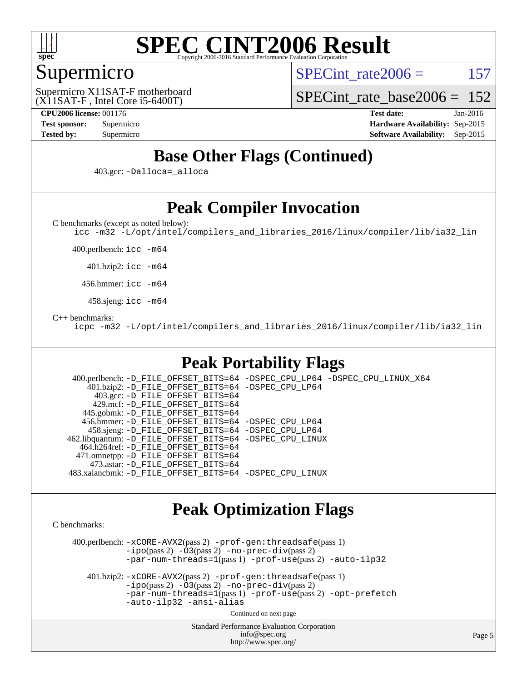

## Supermicro

SPECint rate $2006 = 157$ 

(X11SAT-F , Intel Core i5-6400T) Supermicro X11SAT-F motherboard

[SPECint\\_rate\\_base2006 =](http://www.spec.org/auto/cpu2006/Docs/result-fields.html#SPECintratebase2006) 152

**[CPU2006 license:](http://www.spec.org/auto/cpu2006/Docs/result-fields.html#CPU2006license)** 001176 **[Test date:](http://www.spec.org/auto/cpu2006/Docs/result-fields.html#Testdate)** Jan-2016 **[Test sponsor:](http://www.spec.org/auto/cpu2006/Docs/result-fields.html#Testsponsor)** Supermicro **[Hardware Availability:](http://www.spec.org/auto/cpu2006/Docs/result-fields.html#HardwareAvailability)** Sep-2015 **[Tested by:](http://www.spec.org/auto/cpu2006/Docs/result-fields.html#Testedby)** Supermicro **Supermicro [Software Availability:](http://www.spec.org/auto/cpu2006/Docs/result-fields.html#SoftwareAvailability)** Sep-2015

# **[Base Other Flags \(Continued\)](http://www.spec.org/auto/cpu2006/Docs/result-fields.html#BaseOtherFlags)**

403.gcc: [-Dalloca=\\_alloca](http://www.spec.org/cpu2006/results/res2016q1/cpu2006-20160107-38615.flags.html#b403.gcc_baseEXTRA_CFLAGS_Dalloca_be3056838c12de2578596ca5467af7f3)

# **[Peak Compiler Invocation](http://www.spec.org/auto/cpu2006/Docs/result-fields.html#PeakCompilerInvocation)**

[C benchmarks \(except as noted below\)](http://www.spec.org/auto/cpu2006/Docs/result-fields.html#Cbenchmarksexceptasnotedbelow):

[icc -m32 -L/opt/intel/compilers\\_and\\_libraries\\_2016/linux/compiler/lib/ia32\\_lin](http://www.spec.org/cpu2006/results/res2016q1/cpu2006-20160107-38615.flags.html#user_CCpeak_intel_icc_e10256ba5924b668798078a321b0cb3f)

400.perlbench: [icc -m64](http://www.spec.org/cpu2006/results/res2016q1/cpu2006-20160107-38615.flags.html#user_peakCCLD400_perlbench_intel_icc_64bit_bda6cc9af1fdbb0edc3795bac97ada53)

401.bzip2: [icc -m64](http://www.spec.org/cpu2006/results/res2016q1/cpu2006-20160107-38615.flags.html#user_peakCCLD401_bzip2_intel_icc_64bit_bda6cc9af1fdbb0edc3795bac97ada53)

456.hmmer: [icc -m64](http://www.spec.org/cpu2006/results/res2016q1/cpu2006-20160107-38615.flags.html#user_peakCCLD456_hmmer_intel_icc_64bit_bda6cc9af1fdbb0edc3795bac97ada53)

458.sjeng: [icc -m64](http://www.spec.org/cpu2006/results/res2016q1/cpu2006-20160107-38615.flags.html#user_peakCCLD458_sjeng_intel_icc_64bit_bda6cc9af1fdbb0edc3795bac97ada53)

#### [C++ benchmarks:](http://www.spec.org/auto/cpu2006/Docs/result-fields.html#CXXbenchmarks)

[icpc -m32 -L/opt/intel/compilers\\_and\\_libraries\\_2016/linux/compiler/lib/ia32\\_lin](http://www.spec.org/cpu2006/results/res2016q1/cpu2006-20160107-38615.flags.html#user_CXXpeak_intel_icpc_b4f50a394bdb4597aa5879c16bc3f5c5)

### **[Peak Portability Flags](http://www.spec.org/auto/cpu2006/Docs/result-fields.html#PeakPortabilityFlags)**

 400.perlbench: [-D\\_FILE\\_OFFSET\\_BITS=64](http://www.spec.org/cpu2006/results/res2016q1/cpu2006-20160107-38615.flags.html#user_peakPORTABILITY400_perlbench_file_offset_bits_64_438cf9856305ebd76870a2c6dc2689ab) [-DSPEC\\_CPU\\_LP64](http://www.spec.org/cpu2006/results/res2016q1/cpu2006-20160107-38615.flags.html#b400.perlbench_peakCPORTABILITY_DSPEC_CPU_LP64) [-DSPEC\\_CPU\\_LINUX\\_X64](http://www.spec.org/cpu2006/results/res2016q1/cpu2006-20160107-38615.flags.html#b400.perlbench_peakCPORTABILITY_DSPEC_CPU_LINUX_X64) 401.bzip2: [-D\\_FILE\\_OFFSET\\_BITS=64](http://www.spec.org/cpu2006/results/res2016q1/cpu2006-20160107-38615.flags.html#user_peakPORTABILITY401_bzip2_file_offset_bits_64_438cf9856305ebd76870a2c6dc2689ab) [-DSPEC\\_CPU\\_LP64](http://www.spec.org/cpu2006/results/res2016q1/cpu2006-20160107-38615.flags.html#suite_peakCPORTABILITY401_bzip2_DSPEC_CPU_LP64) 403.gcc: [-D\\_FILE\\_OFFSET\\_BITS=64](http://www.spec.org/cpu2006/results/res2016q1/cpu2006-20160107-38615.flags.html#user_peakPORTABILITY403_gcc_file_offset_bits_64_438cf9856305ebd76870a2c6dc2689ab) 429.mcf: [-D\\_FILE\\_OFFSET\\_BITS=64](http://www.spec.org/cpu2006/results/res2016q1/cpu2006-20160107-38615.flags.html#user_peakPORTABILITY429_mcf_file_offset_bits_64_438cf9856305ebd76870a2c6dc2689ab) 445.gobmk: [-D\\_FILE\\_OFFSET\\_BITS=64](http://www.spec.org/cpu2006/results/res2016q1/cpu2006-20160107-38615.flags.html#user_peakPORTABILITY445_gobmk_file_offset_bits_64_438cf9856305ebd76870a2c6dc2689ab) 456.hmmer: [-D\\_FILE\\_OFFSET\\_BITS=64](http://www.spec.org/cpu2006/results/res2016q1/cpu2006-20160107-38615.flags.html#user_peakPORTABILITY456_hmmer_file_offset_bits_64_438cf9856305ebd76870a2c6dc2689ab) [-DSPEC\\_CPU\\_LP64](http://www.spec.org/cpu2006/results/res2016q1/cpu2006-20160107-38615.flags.html#suite_peakCPORTABILITY456_hmmer_DSPEC_CPU_LP64) 458.sjeng: [-D\\_FILE\\_OFFSET\\_BITS=64](http://www.spec.org/cpu2006/results/res2016q1/cpu2006-20160107-38615.flags.html#user_peakPORTABILITY458_sjeng_file_offset_bits_64_438cf9856305ebd76870a2c6dc2689ab) [-DSPEC\\_CPU\\_LP64](http://www.spec.org/cpu2006/results/res2016q1/cpu2006-20160107-38615.flags.html#suite_peakCPORTABILITY458_sjeng_DSPEC_CPU_LP64) 462.libquantum: [-D\\_FILE\\_OFFSET\\_BITS=64](http://www.spec.org/cpu2006/results/res2016q1/cpu2006-20160107-38615.flags.html#user_peakPORTABILITY462_libquantum_file_offset_bits_64_438cf9856305ebd76870a2c6dc2689ab) [-DSPEC\\_CPU\\_LINUX](http://www.spec.org/cpu2006/results/res2016q1/cpu2006-20160107-38615.flags.html#b462.libquantum_peakCPORTABILITY_DSPEC_CPU_LINUX) 464.h264ref: [-D\\_FILE\\_OFFSET\\_BITS=64](http://www.spec.org/cpu2006/results/res2016q1/cpu2006-20160107-38615.flags.html#user_peakPORTABILITY464_h264ref_file_offset_bits_64_438cf9856305ebd76870a2c6dc2689ab) 471.omnetpp: [-D\\_FILE\\_OFFSET\\_BITS=64](http://www.spec.org/cpu2006/results/res2016q1/cpu2006-20160107-38615.flags.html#user_peakPORTABILITY471_omnetpp_file_offset_bits_64_438cf9856305ebd76870a2c6dc2689ab) 473.astar: [-D\\_FILE\\_OFFSET\\_BITS=64](http://www.spec.org/cpu2006/results/res2016q1/cpu2006-20160107-38615.flags.html#user_peakPORTABILITY473_astar_file_offset_bits_64_438cf9856305ebd76870a2c6dc2689ab) 483.xalancbmk: [-D\\_FILE\\_OFFSET\\_BITS=64](http://www.spec.org/cpu2006/results/res2016q1/cpu2006-20160107-38615.flags.html#user_peakPORTABILITY483_xalancbmk_file_offset_bits_64_438cf9856305ebd76870a2c6dc2689ab) [-DSPEC\\_CPU\\_LINUX](http://www.spec.org/cpu2006/results/res2016q1/cpu2006-20160107-38615.flags.html#b483.xalancbmk_peakCXXPORTABILITY_DSPEC_CPU_LINUX)

### **[Peak Optimization Flags](http://www.spec.org/auto/cpu2006/Docs/result-fields.html#PeakOptimizationFlags)**

[C benchmarks](http://www.spec.org/auto/cpu2006/Docs/result-fields.html#Cbenchmarks):

 400.perlbench: [-xCORE-AVX2](http://www.spec.org/cpu2006/results/res2016q1/cpu2006-20160107-38615.flags.html#user_peakPASS2_CFLAGSPASS2_LDCFLAGS400_perlbench_f-xAVX2_5f5fc0cbe2c9f62c816d3e45806c70d7)(pass 2) [-prof-gen:threadsafe](http://www.spec.org/cpu2006/results/res2016q1/cpu2006-20160107-38615.flags.html#user_peakPASS1_CFLAGSPASS1_LDCFLAGS400_perlbench_prof_gen_21a26eb79f378b550acd7bec9fe4467a)(pass 1)  $-i\text{po}(pass 2) -\tilde{O}3(pass 2)$  [-no-prec-div](http://www.spec.org/cpu2006/results/res2016q1/cpu2006-20160107-38615.flags.html#user_peakPASS2_CFLAGSPASS2_LDCFLAGS400_perlbench_f-no-prec-div)(pass 2) [-par-num-threads=1](http://www.spec.org/cpu2006/results/res2016q1/cpu2006-20160107-38615.flags.html#user_peakPASS1_CFLAGSPASS1_LDCFLAGS400_perlbench_par_num_threads_786a6ff141b4e9e90432e998842df6c2)(pass 1) [-prof-use](http://www.spec.org/cpu2006/results/res2016q1/cpu2006-20160107-38615.flags.html#user_peakPASS2_CFLAGSPASS2_LDCFLAGS400_perlbench_prof_use_bccf7792157ff70d64e32fe3e1250b55)(pass 2) [-auto-ilp32](http://www.spec.org/cpu2006/results/res2016q1/cpu2006-20160107-38615.flags.html#user_peakCOPTIMIZE400_perlbench_f-auto-ilp32)

 401.bzip2: [-xCORE-AVX2](http://www.spec.org/cpu2006/results/res2016q1/cpu2006-20160107-38615.flags.html#user_peakPASS2_CFLAGSPASS2_LDCFLAGS401_bzip2_f-xAVX2_5f5fc0cbe2c9f62c816d3e45806c70d7)(pass 2) [-prof-gen:threadsafe](http://www.spec.org/cpu2006/results/res2016q1/cpu2006-20160107-38615.flags.html#user_peakPASS1_CFLAGSPASS1_LDCFLAGS401_bzip2_prof_gen_21a26eb79f378b550acd7bec9fe4467a)(pass 1)  $-i\text{po}(pass 2) -\overline{O}3(pass 2)$  [-no-prec-div](http://www.spec.org/cpu2006/results/res2016q1/cpu2006-20160107-38615.flags.html#user_peakPASS2_CFLAGSPASS2_LDCFLAGS401_bzip2_f-no-prec-div)(pass 2) [-par-num-threads=1](http://www.spec.org/cpu2006/results/res2016q1/cpu2006-20160107-38615.flags.html#user_peakPASS1_CFLAGSPASS1_LDCFLAGS401_bzip2_par_num_threads_786a6ff141b4e9e90432e998842df6c2)(pass 1) [-prof-use](http://www.spec.org/cpu2006/results/res2016q1/cpu2006-20160107-38615.flags.html#user_peakPASS2_CFLAGSPASS2_LDCFLAGS401_bzip2_prof_use_bccf7792157ff70d64e32fe3e1250b55)(pass 2) [-opt-prefetch](http://www.spec.org/cpu2006/results/res2016q1/cpu2006-20160107-38615.flags.html#user_peakCOPTIMIZE401_bzip2_f-opt-prefetch) [-auto-ilp32](http://www.spec.org/cpu2006/results/res2016q1/cpu2006-20160107-38615.flags.html#user_peakCOPTIMIZE401_bzip2_f-auto-ilp32) [-ansi-alias](http://www.spec.org/cpu2006/results/res2016q1/cpu2006-20160107-38615.flags.html#user_peakCOPTIMIZE401_bzip2_f-ansi-alias)

Continued on next page

Standard Performance Evaluation Corporation [info@spec.org](mailto:info@spec.org) <http://www.spec.org/>

Page 5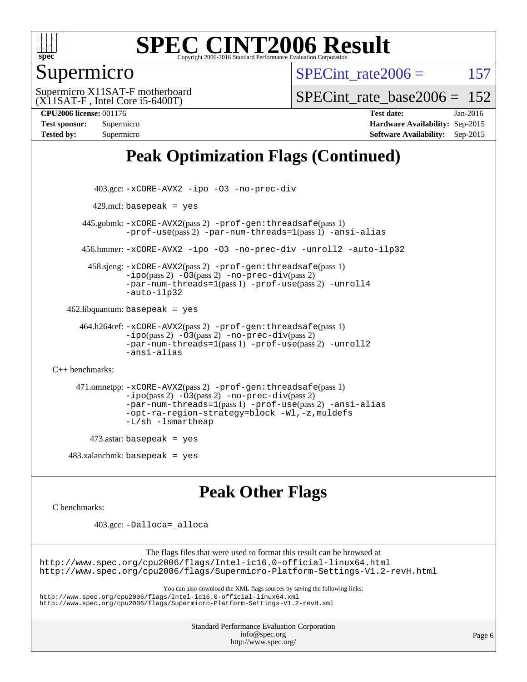

## Supermicro

SPECint rate $2006 = 157$ 

(X11SAT-F , Intel Core i5-6400T) Supermicro X11SAT-F motherboard

SPECint rate base  $2006 = 152$ 

**[CPU2006 license:](http://www.spec.org/auto/cpu2006/Docs/result-fields.html#CPU2006license)** 001176 **[Test date:](http://www.spec.org/auto/cpu2006/Docs/result-fields.html#Testdate)** Jan-2016 **[Test sponsor:](http://www.spec.org/auto/cpu2006/Docs/result-fields.html#Testsponsor)** Supermicro **[Hardware Availability:](http://www.spec.org/auto/cpu2006/Docs/result-fields.html#HardwareAvailability)** Sep-2015 **[Tested by:](http://www.spec.org/auto/cpu2006/Docs/result-fields.html#Testedby)** Supermicro **[Software Availability:](http://www.spec.org/auto/cpu2006/Docs/result-fields.html#SoftwareAvailability)** Sep-2015

# **[Peak Optimization Flags \(Continued\)](http://www.spec.org/auto/cpu2006/Docs/result-fields.html#PeakOptimizationFlags)**

```
 403.gcc: -xCORE-AVX2 -ipo -O3 -no-prec-div
         429.mcf: basepeak = yes
       445.gobmk: -xCORE-AVX2(pass 2) -prof-gen:threadsafe(pass 1)
                -prof-use(pass 2) -par-num-threads=1(pass 1) -ansi-alias
       456.hmmer: -xCORE-AVX2 -ipo -O3 -no-prec-div -unroll2 -auto-ilp32
         458.sjeng: -xCORE-AVX2(pass 2) -prof-gen:threadsafe(pass 1)
                -i\text{po}(pass 2) -\overline{O}3(pass 2)-no-prec-div(pass 2)
                -par-num-threads=1(pass 1) -prof-use(pass 2) -unroll4
                -auto-ilp32
   462.libquantum: basepeak = yes
      464.h264ref: -xCORE-AVX2(pass 2) -prof-gen:threadsafe(pass 1)
                -ipo(pass 2) -O3(pass 2) -no-prec-div(pass 2)
                -par-num-threads=1(pass 1) -prof-use(pass 2) -unroll2
                -ansi-alias
C++ benchmarks: 
      471.omnetpp: -xCORE-AVX2(pass 2) -prof-gen:threadsafe(pass 1)
                -ipo(pass 2) -O3(pass 2) -no-prec-div(pass 2)
                -par-num-threads=1(pass 1) -prof-use(pass 2) -ansi-alias
                -opt-ra-region-strategy=block -Wl,-z,muldefs
                -L/sh -lsmartheap
         473.astar: basepeak = yes
   483.xalanchmk: basepeak = yesPeak Other Flags
```
[C benchmarks](http://www.spec.org/auto/cpu2006/Docs/result-fields.html#Cbenchmarks):

403.gcc: [-Dalloca=\\_alloca](http://www.spec.org/cpu2006/results/res2016q1/cpu2006-20160107-38615.flags.html#b403.gcc_peakEXTRA_CFLAGS_Dalloca_be3056838c12de2578596ca5467af7f3)

The flags files that were used to format this result can be browsed at <http://www.spec.org/cpu2006/flags/Intel-ic16.0-official-linux64.html> <http://www.spec.org/cpu2006/flags/Supermicro-Platform-Settings-V1.2-revH.html>

You can also download the XML flags sources by saving the following links:

<http://www.spec.org/cpu2006/flags/Intel-ic16.0-official-linux64.xml>

<http://www.spec.org/cpu2006/flags/Supermicro-Platform-Settings-V1.2-revH.xml>

Standard Performance Evaluation Corporation [info@spec.org](mailto:info@spec.org) <http://www.spec.org/>

Page 6